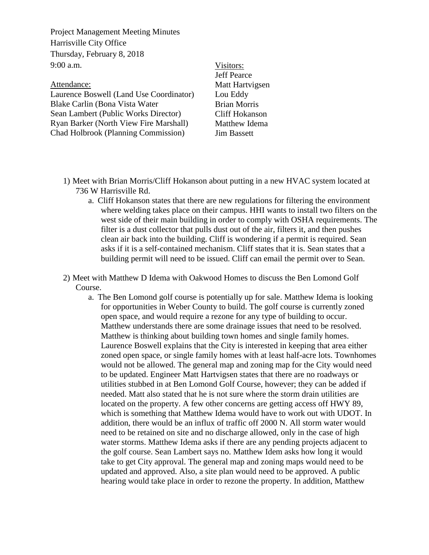Project Management Meeting Minutes Harrisville City Office Thursday, February 8, 2018  $9:00 a.m.$ 

| Attendance:                                |  |
|--------------------------------------------|--|
| Laurence Boswell (Land Use Coordinator)    |  |
| Blake Carlin (Bona Vista Water             |  |
| Sean Lambert (Public Works Director)       |  |
| Ryan Barker (North View Fire Marshall)     |  |
| <b>Chad Holbrook (Planning Commission)</b> |  |

Visitors: Jeff Pearce Matt Hartvigsen Lou Eddy Brian Morris Cliff Hokanson Matthew Idema Jim Bassett

- 1) Meet with Brian Morris/Cliff Hokanson about putting in a new HVAC system located at 736 W Harrisville Rd.
	- a. Cliff Hokanson states that there are new regulations for filtering the environment where welding takes place on their campus. HHI wants to install two filters on the west side of their main building in order to comply with OSHA requirements. The filter is a dust collector that pulls dust out of the air, filters it, and then pushes clean air back into the building. Cliff is wondering if a permit is required. Sean asks if it is a self-contained mechanism. Cliff states that it is. Sean states that a building permit will need to be issued. Cliff can email the permit over to Sean.

2) Meet with Matthew D Idema with Oakwood Homes to discuss the Ben Lomond Golf Course.

a. The Ben Lomond golf course is potentially up for sale. Matthew Idema is looking for opportunities in Weber County to build. The golf course is currently zoned open space, and would require a rezone for any type of building to occur. Matthew understands there are some drainage issues that need to be resolved. Matthew is thinking about building town homes and single family homes. Laurence Boswell explains that the City is interested in keeping that area either zoned open space, or single family homes with at least half-acre lots. Townhomes would not be allowed. The general map and zoning map for the City would need to be updated. Engineer Matt Hartvigsen states that there are no roadways or utilities stubbed in at Ben Lomond Golf Course, however; they can be added if needed. Matt also stated that he is not sure where the storm drain utilities are located on the property. A few other concerns are getting access off HWY 89, which is something that Matthew Idema would have to work out with UDOT. In addition, there would be an influx of traffic off 2000 N. All storm water would need to be retained on site and no discharge allowed, only in the case of high water storms. Matthew Idema asks if there are any pending projects adjacent to the golf course. Sean Lambert says no. Matthew Idem asks how long it would take to get City approval. The general map and zoning maps would need to be updated and approved. Also, a site plan would need to be approved. A public hearing would take place in order to rezone the property. In addition, Matthew